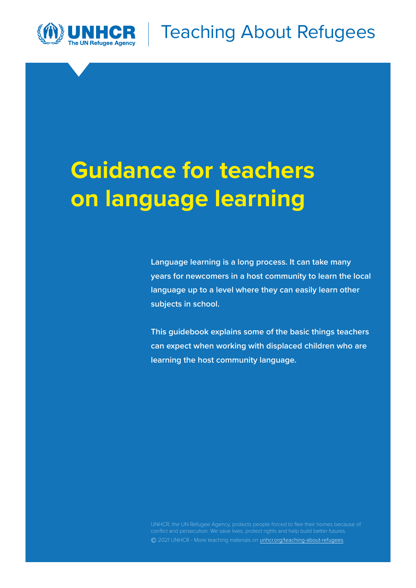

# **Guidance for teachers on language learning**

**Language learning is a long process. It can take many years for newcomers in a host community to learn the local language up to a level where they can easily learn other subjects in school.** 

**This guidebook explains some of the basic things teachers can expect when working with displaced children who are learning the host community language.** 

**©** 2021 UNHCR - More teaching materials on [unhcr.org/teaching-about-refugees](http://www.unhcr.org/teaching-about-refugees.html)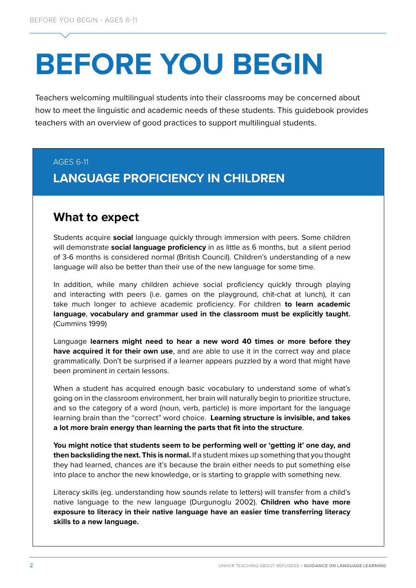# **BEFORE YOU BEGIN**

Teachers welcoming multilingual students into their classrooms may be concerned about how to meet the linguistic and academic needs of these students. This guidebook provides teachers with an overview of good practices to support multilingual students.

#### AGES 6-11

# **LANGUAGE PROFICIENCY IN CHILDREN**

## **What to expect**

Students acquire **social** language quickly through immersion with peers. Some children will demonstrate **social language proficiency** in as little as 6 months, but a silent period of 3-6 months is considered normal (British Council). Children's understanding of a new language will also be better than their use of the new language for some time.

In addition, while many children achieve social proficiency quickly through playing and interacting with peers (i.e. games on the playground, chit-chat at lunch), it can take much longer to achieve academic proficiency. For children **to learn academic language**, **vocabulary and grammar used in the classroom must be explicitly taught.** (Cummins 1999)

Language **learners might need to hear a new word 40 times or more before they have acquired it for their own use**, and are able to use it in the correct way and place grammatically. Don't be surprised if a learner appears puzzled by a word that might have been prominent in certain lessons.

When a student has acquired enough basic vocabulary to understand some of what's going on in the classroom environment, her brain will naturally begin to prioritize structure, and so the category of a word (noun, verb, particle) is more important for the language learning brain than the "correct" word choice. **Learning structure is invisible, and takes a lot more brain energy than learning the parts that fit into the structure**.

**You might notice that students seem to be performing well or 'getting it' one day, and then backsliding the next. This is normal.** If a student mixes up something that you thought they had learned, chances are it's because the brain either needs to put something else into place to anchor the new knowledge, or is starting to grapple with something new.

Literacy skills (eg. understanding how sounds relate to letters) will transfer from a child's native language to the new language (Durgunoglu 2002). **Children who have more exposure to literacy in their native language have an easier time transferring literacy skills to a new language.**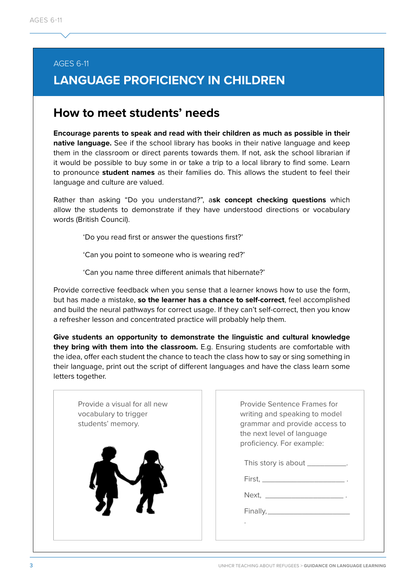#### AGES 6-11

# **LANGUAGE PROFICIENCY IN CHILDREN**

## **How to meet students' needs**

**Encourage parents to speak and read with their children as much as possible in their native language.** See if the school library has books in their native language and keep them in the classroom or direct parents towards them. If not, ask the school librarian if it would be possible to buy some in or take a trip to a local library to find some. Learn to pronounce **student names** as their families do. This allows the student to feel their language and culture are valued.

Rather than asking "Do you understand?", a**sk concept checking questions** which allow the students to demonstrate if they have understood directions or vocabulary words (British Council).

'Do you read first or answer the questions first?'

'Can you point to someone who is wearing red?'

'Can you name three different animals that hibernate?'

Provide corrective feedback when you sense that a learner knows how to use the form, but has made a mistake, **so the learner has a chance to self-correct**, feel accomplished and build the neural pathways for correct usage. If they can't self-correct, then you know a refresher lesson and concentrated practice will probably help them.

**Give students an opportunity to demonstrate the linguistic and cultural knowledge they bring with them into the classroom.** E.g. Ensuring students are comfortable with the idea, offer each student the chance to teach the class how to say or sing something in their language, print out the script of different languages and have the class learn some letters together.

| Provide a visual for all new<br>vocabulary to trigger<br>students' memory. | Provide Sentence Frames for<br>writing and speaking to model<br>grammar and provide access to<br>the next level of language<br>proficiency. For example: |
|----------------------------------------------------------------------------|----------------------------------------------------------------------------------------------------------------------------------------------------------|
|                                                                            | This story is about ___________.<br>$First, \underline{\hspace{2cm} \quad \quad \quad } \qquad \qquad \qquad } \; .$                                     |
|                                                                            |                                                                                                                                                          |
|                                                                            |                                                                                                                                                          |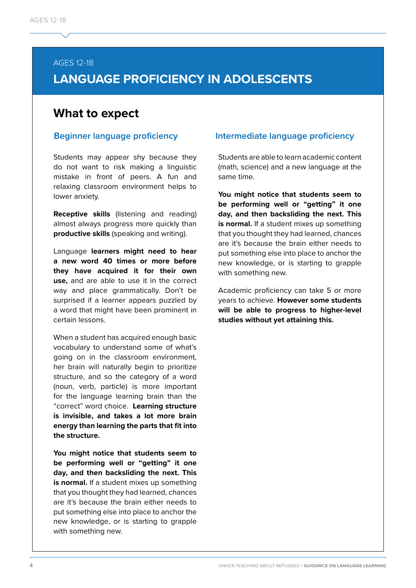#### AGES 12-18

# **LANGUAGE PROFICIENCY IN ADOLESCENTS**

#### **What to expect**

Students may appear shy because they do not want to risk making a linguistic mistake in front of peers. A fun and relaxing classroom environment helps to lower anxiety.

**Receptive skills** (listening and reading) almost always progress more quickly than **productive skills** (speaking and writing).

Language **learners might need to hear a new word 40 times or more before they have acquired it for their own use,** and are able to use it in the correct way and place grammatically. Don't be surprised if a learner appears puzzled by a word that might have been prominent in certain lessons.

When a student has acquired enough basic vocabulary to understand some of what's going on in the classroom environment, her brain will naturally begin to prioritize structure, and so the category of a word (noun, verb, particle) is more important for the language learning brain than the "correct" word choice. **Learning structure is invisible, and takes a lot more brain energy than learning the parts that fit into the structure.** 

**You might notice that students seem to be performing well or "getting" it one day, and then backsliding the next. This**  is normal. If a student mixes up something that you thought they had learned, chances are it's because the brain either needs to put something else into place to anchor the new knowledge, or is starting to grapple with something new.

#### **Beginner language proficiency Intermediate language proficiency**

Students are able to learn academic content (math, science) and a new language at the same time.

**You might notice that students seem to be performing well or "getting" it one day, and then backsliding the next. This**  is normal. If a student mixes up something that you thought they had learned, chances are it's because the brain either needs to put something else into place to anchor the new knowledge, or is starting to grapple with something new.

Academic proficiency can take 5 or more years to achieve. **However some students will be able to progress to higher-level studies without yet attaining this.**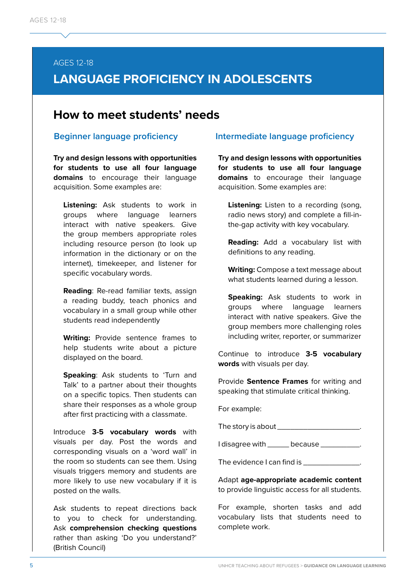#### AGES 12-18

# **LANGUAGE PROFICIENCY IN ADOLESCENTS**

### **How to meet students' needs**

**Try and design lessons with opportunities for students to use all four language domains** to encourage their language acquisition. Some examples are:

**Listening:** Ask students to work in groups where language learners interact with native speakers. Give the group members appropriate roles including resource person (to look up information in the dictionary or on the internet), timekeeper, and listener for specific vocabulary words.

**Reading**: Re-read familiar texts, assign a reading buddy, teach phonics and vocabulary in a small group while other students read independently

**Writing:** Provide sentence frames to help students write about a picture displayed on the board.

**Speaking: Ask students to 'Turn and** Talk' to a partner about their thoughts on a specific topics. Then students can share their responses as a whole group after first practicing with a classmate.

Introduce **3-5 vocabulary words** with visuals per day. Post the words and corresponding visuals on a 'word wall' in the room so students can see them. Using visuals triggers memory and students are more likely to use new vocabulary if it is posted on the walls.

Ask students to repeat directions back to you to check for understanding. Ask **comprehension checking questions**  rather than asking 'Do you understand?' (British Council)

#### **Beginner language proficiency Intermediate language proficiency**

**Try and design lessons with opportunities for students to use all four language domains** to encourage their language acquisition. Some examples are:

**Listening:** Listen to a recording (song, radio news story) and complete a fill-inthe-gap activity with key vocabulary.

**Reading:** Add a vocabulary list with definitions to any reading.

**Writing:** Compose a text message about what students learned during a lesson.

**Speaking:** Ask students to work in groups where language learners interact with native speakers. Give the group members more challenging roles including writer, reporter, or summarizer

Continue to introduce **3-5 vocabulary words** with visuals per day.

Provide **Sentence Frames** for writing and speaking that stimulate critical thinking.

For example:

The story is about \_\_\_\_\_\_\_\_\_\_\_\_\_\_\_\_\_\_\_\_\_.

I disagree with \_\_\_\_\_\_ because \_\_\_\_\_\_\_\_\_.

The evidence I can find is \_\_\_\_\_\_

Adapt **age-appropriate academic content**  to provide linguistic access for all students.

For example, shorten tasks and add vocabulary lists that students need to complete work.